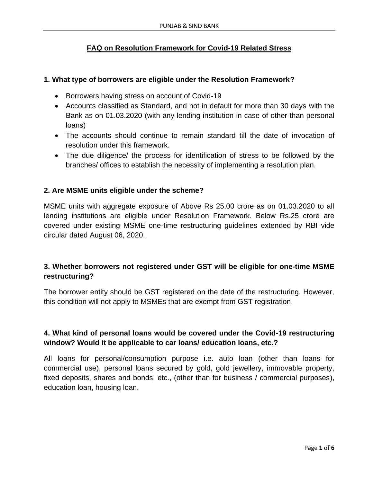# **FAQ on Resolution Framework for Covid-19 Related Stress**

### **1. What type of borrowers are eligible under the Resolution Framework?**

- Borrowers having stress on account of Covid-19
- Accounts classified as Standard, and not in default for more than 30 days with the Bank as on 01.03.2020 (with any lending institution in case of other than personal loans)
- The accounts should continue to remain standard till the date of invocation of resolution under this framework.
- The due diligence/ the process for identification of stress to be followed by the branches/ offices to establish the necessity of implementing a resolution plan.

## **2. Are MSME units eligible under the scheme?**

MSME units with aggregate exposure of Above Rs 25.00 crore as on 01.03.2020 to all lending institutions are eligible under Resolution Framework. Below Rs.25 crore are covered under existing MSME one-time restructuring guidelines extended by RBI vide circular dated August 06, 2020.

# **3. Whether borrowers not registered under GST will be eligible for one-time MSME restructuring?**

The borrower entity should be GST registered on the date of the restructuring. However, this condition will not apply to MSMEs that are exempt from GST registration.

# **4. What kind of personal loans would be covered under the Covid-19 restructuring window? Would it be applicable to car loans/ education loans, etc.?**

All loans for personal/consumption purpose i.e. auto loan (other than loans for commercial use), personal loans secured by gold, gold jewellery, immovable property, fixed deposits, shares and bonds, etc., (other than for business / commercial purposes), education loan, housing loan.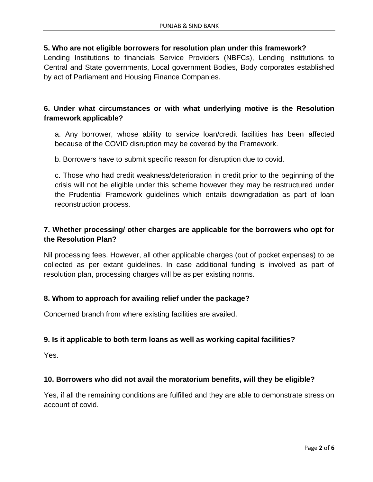## **5. Who are not eligible borrowers for resolution plan under this framework?**

Lending Institutions to financials Service Providers (NBFCs), Lending institutions to Central and State governments, Local government Bodies, Body corporates established by act of Parliament and Housing Finance Companies.

# **6. Under what circumstances or with what underlying motive is the Resolution framework applicable?**

a. Any borrower, whose ability to service loan/credit facilities has been affected because of the COVID disruption may be covered by the Framework.

b. Borrowers have to submit specific reason for disruption due to covid.

c. Those who had credit weakness/deterioration in credit prior to the beginning of the crisis will not be eligible under this scheme however they may be restructured under the Prudential Framework guidelines which entails downgradation as part of loan reconstruction process.

# **7. Whether processing/ other charges are applicable for the borrowers who opt for the Resolution Plan?**

Nil processing fees. However, all other applicable charges (out of pocket expenses) to be collected as per extant guidelines. In case additional funding is involved as part of resolution plan, processing charges will be as per existing norms.

## **8. Whom to approach for availing relief under the package?**

Concerned branch from where existing facilities are availed.

## **9. Is it applicable to both term loans as well as working capital facilities?**

Yes.

## **10. Borrowers who did not avail the moratorium benefits, will they be eligible?**

Yes, if all the remaining conditions are fulfilled and they are able to demonstrate stress on account of covid.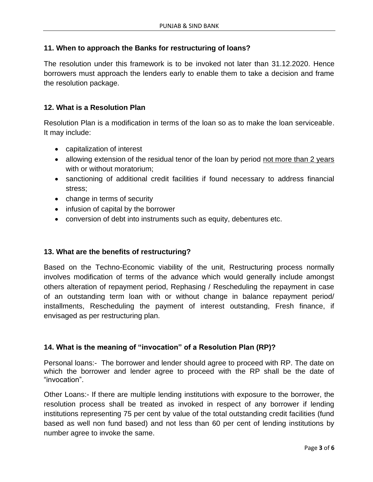## **11. When to approach the Banks for restructuring of loans?**

The resolution under this framework is to be invoked not later than 31.12.2020. Hence borrowers must approach the lenders early to enable them to take a decision and frame the resolution package.

## **12. What is a Resolution Plan**

Resolution Plan is a modification in terms of the loan so as to make the loan serviceable. It may include:

- capitalization of interest
- allowing extension of the residual tenor of the loan by period not more than 2 years with or without moratorium:
- sanctioning of additional credit facilities if found necessary to address financial stress;
- change in terms of security
- infusion of capital by the borrower
- conversion of debt into instruments such as equity, debentures etc.

#### **13. What are the benefits of restructuring?**

Based on the Techno-Economic viability of the unit, Restructuring process normally involves modification of terms of the advance which would generally include amongst others alteration of repayment period, Rephasing / Rescheduling the repayment in case of an outstanding term loan with or without change in balance repayment period/ installments, Rescheduling the payment of interest outstanding, Fresh finance, if envisaged as per restructuring plan.

## **14. What is the meaning of "invocation" of a Resolution Plan (RP)?**

Personal loans:- The borrower and lender should agree to proceed with RP. The date on which the borrower and lender agree to proceed with the RP shall be the date of "invocation".

Other Loans:- If there are multiple lending institutions with exposure to the borrower, the resolution process shall be treated as invoked in respect of any borrower if lending institutions representing 75 per cent by value of the total outstanding credit facilities (fund based as well non fund based) and not less than 60 per cent of lending institutions by number agree to invoke the same.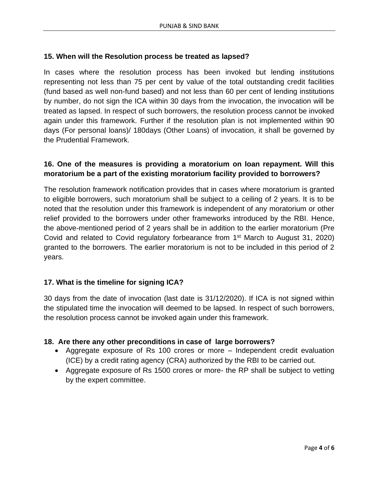## **15. When will the Resolution process be treated as lapsed?**

In cases where the resolution process has been invoked but lending institutions representing not less than 75 per cent by value of the total outstanding credit facilities (fund based as well non-fund based) and not less than 60 per cent of lending institutions by number, do not sign the ICA within 30 days from the invocation, the invocation will be treated as lapsed. In respect of such borrowers, the resolution process cannot be invoked again under this framework. Further if the resolution plan is not implemented within 90 days (For personal loans)/ 180days (Other Loans) of invocation, it shall be governed by the Prudential Framework.

## **16. One of the measures is providing a moratorium on loan repayment. Will this moratorium be a part of the existing moratorium facility provided to borrowers?**

The resolution framework notification provides that in cases where moratorium is granted to eligible borrowers, such moratorium shall be subject to a ceiling of 2 years. It is to be noted that the resolution under this framework is independent of any moratorium or other relief provided to the borrowers under other frameworks introduced by the RBI. Hence, the above-mentioned period of 2 years shall be in addition to the earlier moratorium (Pre Covid and related to Covid regulatory forbearance from 1st March to August 31, 2020) granted to the borrowers. The earlier moratorium is not to be included in this period of 2 years.

## **17. What is the timeline for signing ICA?**

30 days from the date of invocation (last date is 31/12/2020). If ICA is not signed within the stipulated time the invocation will deemed to be lapsed. In respect of such borrowers, the resolution process cannot be invoked again under this framework.

## **18. Are there any other preconditions in case of large borrowers?**

- Aggregate exposure of Rs 100 crores or more Independent credit evaluation (ICE) by a credit rating agency (CRA) authorized by the RBI to be carried out.
- Aggregate exposure of Rs 1500 crores or more- the RP shall be subject to vetting by the expert committee.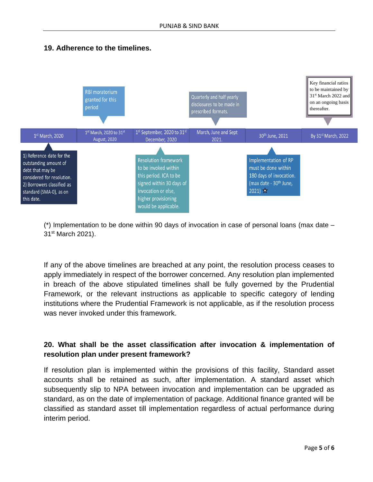



(\*) Implementation to be done within 90 days of invocation in case of personal loans (max date – 31st March 2021).

If any of the above timelines are breached at any point, the resolution process ceases to apply immediately in respect of the borrower concerned. Any resolution plan implemented in breach of the above stipulated timelines shall be fully governed by the Prudential Framework, or the relevant instructions as applicable to specific category of lending institutions where the Prudential Framework is not applicable, as if the resolution process was never invoked under this framework.

# **20. What shall be the asset classification after invocation & implementation of resolution plan under present framework?**

If resolution plan is implemented within the provisions of this facility, Standard asset accounts shall be retained as such, after implementation. A standard asset which subsequently slip to NPA between invocation and implementation can be upgraded as standard, as on the date of implementation of package. Additional finance granted will be classified as standard asset till implementation regardless of actual performance during interim period.